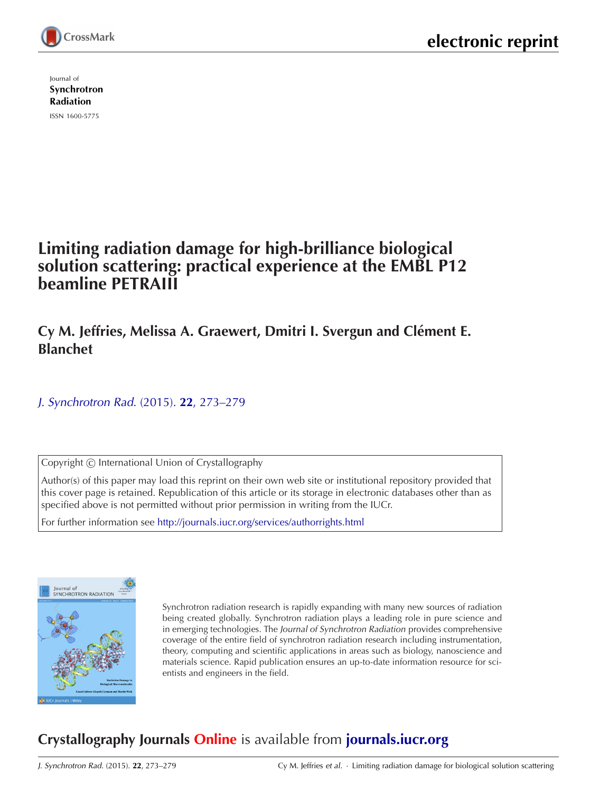

Journal of [Synchrotron](http://journals.iucr.org/s/) Radiation

ISSN 1600-5775

# **Limiting radiation damage for high-brilliance biological solution scattering: practical experience at the EMBL P12 beamline PETRAIII**

## **Cy M. Jeffries, Melissa A. Graewert, Dmitri I. Svergun and Clement E. ´ Blanchet**

J. [Synchrotron](http://dx.doi.org/10.1107/S1600577515000375) Rad. (2015). **22**, 273–279

Copyright © International Union of Crystallography

Author(s) of this paper may load this reprint on their own web site or institutional repository provided that this cover page is retained. Republication of this article or its storage in electronic databases other than as specified above is not permitted without prior permission in writing from the IUCr.

For further information see <http://journals.iucr.org/services/authorrights.html>



Synchrotron radiation research is rapidly expanding with many new sources of radiation being created globally. Synchrotron radiation plays a leading role in pure science and in emerging technologies. The Journal of Synchrotron Radiation provides comprehensive coverage of the entire field of synchrotron radiation research including instrumentation, theory, computing and scientific applications in areas such as biology, nanoscience and materials science. Rapid publication ensures an up-to-date information resource for scientists and engineers in the field.

# **Crystallography Journals Online** is available from **[journals.iucr.org](http://journals.iucr.org)**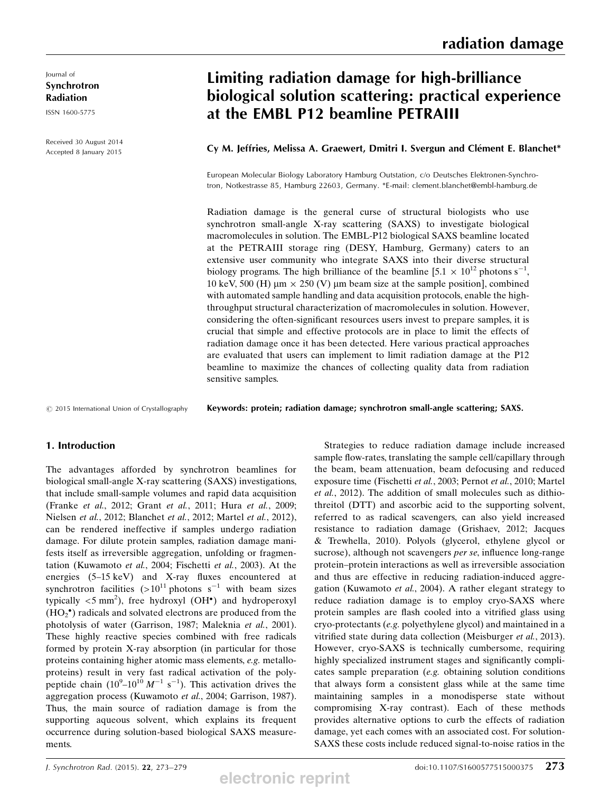Journal of Synchrotron Radiation

ISSN 1600-5775

Received 30 August 2014 Accepted 8 January 2015

# Limiting radiation damage for high-brilliance biological solution scattering: practical experience at the EMBL P12 beamline PETRAIII

Cy M. Jeffries, Melissa A. Graewert, Dmitri I. Svergun and Clément E. Blanchet\*

European Molecular Biology Laboratory Hamburg Outstation, c/o Deutsches Elektronen-Synchrotron, Notkestrasse 85, Hamburg 22603, Germany. \*E-mail: clement.blanchet@embl-hamburg.de

Radiation damage is the general curse of structural biologists who use synchrotron small-angle X-ray scattering (SAXS) to investigate biological macromolecules in solution. The EMBL-P12 biological SAXS beamline located at the PETRAIII storage ring (DESY, Hamburg, Germany) caters to an extensive user community who integrate SAXS into their diverse structural biology programs. The high brilliance of the beamline  $[5.1 \times 10^{12}$  photons s<sup>-1</sup>, 10 keV, 500 (H)  $\mu$ m  $\times$  250 (V)  $\mu$ m beam size at the sample position], combined with automated sample handling and data acquisition protocols, enable the highthroughput structural characterization of macromolecules in solution. However, considering the often-significant resources users invest to prepare samples, it is crucial that simple and effective protocols are in place to limit the effects of radiation damage once it has been detected. Here various practical approaches are evaluated that users can implement to limit radiation damage at the P12 beamline to maximize the chances of collecting quality data from radiation sensitive samples.

 $©$  2015 International Union of Crystallography

Keywords: protein; radiation damage; synchrotron small-angle scattering; SAXS.

#### 1. Introduction

The advantages afforded by synchrotron beamlines for biological small-angle X-ray scattering (SAXS) investigations, that include small-sample volumes and rapid data acquisition (Franke et al., 2012; Grant et al., 2011; Hura et al., 2009; Nielsen et al., 2012; Blanchet et al., 2012; Martel et al., 2012), can be rendered ineffective if samples undergo radiation damage. For dilute protein samples, radiation damage manifests itself as irreversible aggregation, unfolding or fragmentation (Kuwamoto et al., 2004; Fischetti et al., 2003). At the energies (5–15 keV) and X-ray fluxes encountered at synchrotron facilities  $(>10^{11} \text{ photons s}^{-1}$  with beam sizes typically  $\langle 5 \text{ mm}^2 \rangle$ , free hydroxyl (OH<sup>o</sup>) and hydroperoxyl (HO2 ) radicals and solvated electrons are produced from the photolysis of water (Garrison, 1987; Maleknia et al., 2001). These highly reactive species combined with free radicals formed by protein X-ray absorption (in particular for those proteins containing higher atomic mass elements, e.g. metalloproteins) result in very fast radical activation of the polypeptide chain  $(10^9-10^{10} M^{-1} s^{-1})$ . This activation drives the aggregation process (Kuwamoto et al., 2004; Garrison, 1987). Thus, the main source of radiation damage is from the supporting aqueous solvent, which explains its frequent occurrence during solution-based biological SAXS measurements.

Strategies to reduce radiation damage include increased sample flow-rates, translating the sample cell/capillary through the beam, beam attenuation, beam defocusing and reduced exposure time (Fischetti et al., 2003; Pernot et al., 2010; Martel et al., 2012). The addition of small molecules such as dithiothreitol (DTT) and ascorbic acid to the supporting solvent, referred to as radical scavengers, can also yield increased resistance to radiation damage (Grishaev, 2012; Jacques & Trewhella, 2010). Polyols (glycerol, ethylene glycol or sucrose), although not scavengers *per se*, influence long-range protein–protein interactions as well as irreversible association and thus are effective in reducing radiation-induced aggregation (Kuwamoto et al., 2004). A rather elegant strategy to reduce radiation damage is to employ cryo-SAXS where protein samples are flash cooled into a vitrified glass using cryo-protectants (e.g. polyethylene glycol) and maintained in a vitrified state during data collection (Meisburger *et al.*, 2013). However, cryo-SAXS is technically cumbersome, requiring highly specialized instrument stages and significantly complicates sample preparation (e.g. obtaining solution conditions that always form a consistent glass while at the same time maintaining samples in a monodisperse state without compromising X-ray contrast). Each of these methods provides alternative options to curb the effects of radiation damage, yet each comes with an associated cost. For solution-SAXS these costs include reduced signal-to-noise ratios in the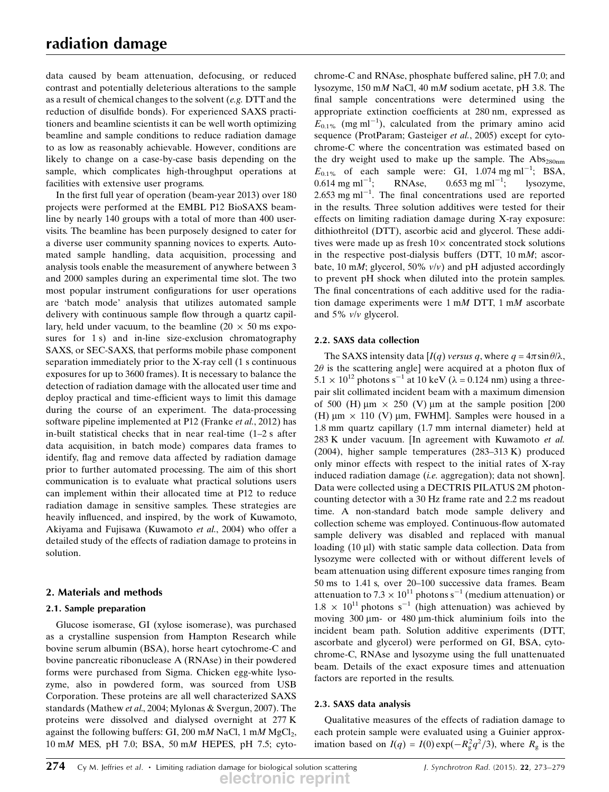data caused by beam attenuation, defocusing, or reduced contrast and potentially deleterious alterations to the sample as a result of chemical changes to the solvent  $(e.g. DTT)$  and the reduction of disulfide bonds). For experienced SAXS practitioners and beamline scientists it can be well worth optimizing beamline and sample conditions to reduce radiation damage to as low as reasonably achievable. However, conditions are likely to change on a case-by-case basis depending on the sample, which complicates high-throughput operations at facilities with extensive user programs.

In the first full year of operation (beam-year 2013) over 180 projects were performed at the EMBL P12 BioSAXS beamline by nearly 140 groups with a total of more than 400 uservisits. The beamline has been purposely designed to cater for a diverse user community spanning novices to experts. Automated sample handling, data acquisition, processing and analysis tools enable the measurement of anywhere between 3 and 2000 samples during an experimental time slot. The two most popular instrument configurations for user operations are 'batch mode' analysis that utilizes automated sample delivery with continuous sample flow through a quartz capillary, held under vacuum, to the beamline  $(20 \times 50 \text{ ms } \text{ expo-}$ sures for 1 s) and in-line size-exclusion chromatography SAXS, or SEC-SAXS, that performs mobile phase component separation immediately prior to the X-ray cell (1 s continuous exposures for up to 3600 frames). It is necessary to balance the detection of radiation damage with the allocated user time and deploy practical and time-efficient ways to limit this damage during the course of an experiment. The data-processing software pipeline implemented at P12 (Franke et al., 2012) has in-built statistical checks that in near real-time (1–2 s after data acquisition, in batch mode) compares data frames to identify, flag and remove data affected by radiation damage prior to further automated processing. The aim of this short communication is to evaluate what practical solutions users can implement within their allocated time at P12 to reduce radiation damage in sensitive samples. These strategies are heavily influenced, and inspired, by the work of Kuwamoto, Akiyama and Fujisawa (Kuwamoto et al., 2004) who offer a detailed study of the effects of radiation damage to proteins in solution.

## 2. Materials and methods

### 2.1. Sample preparation

Glucose isomerase, GI (xylose isomerase), was purchased as a crystalline suspension from Hampton Research while bovine serum albumin (BSA), horse heart cytochrome-C and bovine pancreatic ribonuclease A (RNAse) in their powdered forms were purchased from Sigma. Chicken egg-white lysozyme, also in powdered form, was sourced from USB Corporation. These proteins are all well characterized SAXS standards (Mathew et al., 2004; Mylonas & Svergun, 2007). The proteins were dissolved and dialysed overnight at 277 K against the following buffers: GI, 200 mM NaCl, 1 mM MgCl<sub>2</sub>, 10 mM MES, pH 7.0; BSA, 50 mM HEPES, pH 7.5; cyto-

chrome-C and RNAse, phosphate buffered saline, pH 7.0; and lysozyme, 150 mM NaCl, 40 mM sodium acetate, pH 3.8. The final sample concentrations were determined using the appropriate extinction coefficients at 280 nm, expressed as  $E_{0.1\%}$  (mg ml<sup>-1</sup>), calculated from the primary amino acid sequence (ProtParam; Gasteiger et al., 2005) except for cytochrome-C where the concentration was estimated based on the dry weight used to make up the sample. The  $Abs_{280nm}$  $E_{0.1\%}$  of each sample were: GI, 1.074 mg ml<sup>-1</sup>; BSA,  $0.614$  mg ml<sup>-1</sup>; RNAse,  $0.653$  mg ml<sup>-1</sup>; lysozyme, 2.653 mg m $l^{-1}$ . The final concentrations used are reported in the results. Three solution additives were tested for their effects on limiting radiation damage during X-ray exposure: dithiothreitol (DTT), ascorbic acid and glycerol. These additives were made up as fresh  $10\times$  concentrated stock solutions in the respective post-dialysis buffers (DTT, 10 mM; ascorbate, 10 mM; glycerol, 50%  $v/v$ ) and pH adjusted accordingly to prevent pH shock when diluted into the protein samples. The final concentrations of each additive used for the radiation damage experiments were 1 mM DTT, 1 mM ascorbate and 5% v/v glycerol.

### 2.2. SAXS data collection

The SAXS intensity data [ $I(q)$  versus q, where  $q = 4\pi \sin \theta / \lambda$ ,  $2\theta$  is the scattering angle] were acquired at a photon flux of  $5.1 \times 10^{12}$  photons s<sup>-1</sup> at 10 keV ( $\lambda = 0.124$  nm) using a threepair slit collimated incident beam with a maximum dimension of 500 (H)  $\mu$ m  $\times$  250 (V)  $\mu$ m at the sample position [200 (H)  $\mu$ m  $\times$  110 (V)  $\mu$ m, FWHM]. Samples were housed in a 1.8 mm quartz capillary (1.7 mm internal diameter) held at 283 K under vacuum. [In agreement with Kuwamoto et al. (2004), higher sample temperatures (283–313 K) produced only minor effects with respect to the initial rates of X-ray induced radiation damage (*i.e.* aggregation); data not shown]. Data were collected using a DECTRIS PILATUS 2M photoncounting detector with a 30 Hz frame rate and 2.2 ms readout time. A non-standard batch mode sample delivery and collection scheme was employed. Continuous-flow automated sample delivery was disabled and replaced with manual loading  $(10 \mu l)$  with static sample data collection. Data from lysozyme were collected with or without different levels of beam attenuation using different exposure times ranging from 50 ms to 1.41 s, over 20–100 successive data frames. Beam attenuation to 7.3  $\times$  10<sup>11</sup> photons s<sup>-1</sup> (medium attenuation) or  $1.8 \times 10^{11}$  photons s<sup>-1</sup> (high attenuation) was achieved by moving  $300 \mu m$ - or  $480 \mu m$ -thick aluminium foils into the incident beam path. Solution additive experiments (DTT, ascorbate and glycerol) were performed on GI, BSA, cytochrome-C, RNAse and lysozyme using the full unattenuated beam. Details of the exact exposure times and attenuation factors are reported in the results.

#### 2.3. SAXS data analysis

Qualitative measures of the effects of radiation damage to each protein sample were evaluated using a Guinier approximation based on  $I(q) = I(0) \exp(-R_g^2 q^2/3)$ , where  $R_g$  is the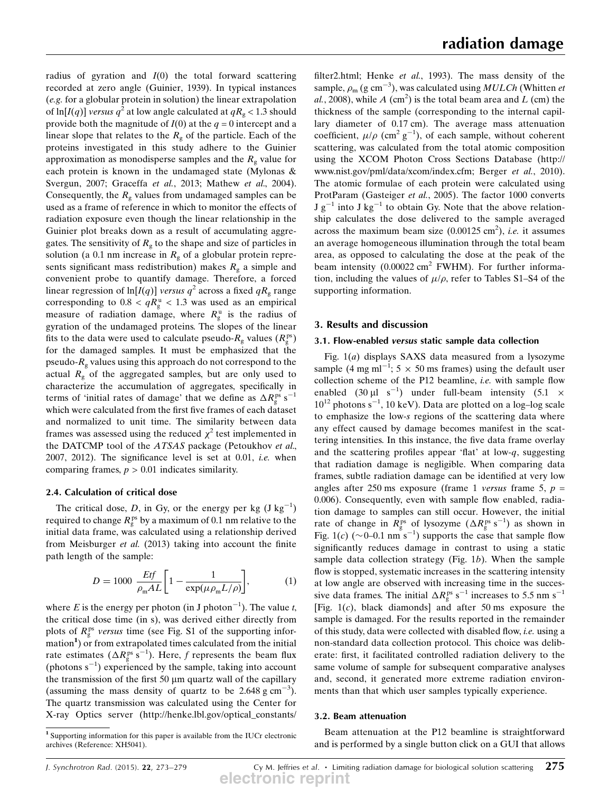radius of gyration and  $I(0)$  the total forward scattering recorded at zero angle (Guinier, 1939). In typical instances (e.g. for a globular protein in solution) the linear extrapolation of ln[I(q)] versus  $q^2$  at low angle calculated at  $qR_g < 1.3$  should provide both the magnitude of  $I(0)$  at the  $q = 0$  intercept and a linear slope that relates to the  $R_{g}$  of the particle. Each of the proteins investigated in this study adhere to the Guinier approximation as monodisperse samples and the  $R_{g}$  value for each protein is known in the undamaged state (Mylonas & Svergun, 2007; Graceffa et al., 2013; Mathew et al., 2004). Consequently, the  $R_g$  values from undamaged samples can be used as a frame of reference in which to monitor the effects of radiation exposure even though the linear relationship in the Guinier plot breaks down as a result of accumulating aggregates. The sensitivity of  $R_{\rm g}$  to the shape and size of particles in solution (a 0.1 nm increase in  $R_{\rm g}$  of a globular protein represents significant mass redistribution) makes  $R<sub>g</sub>$  a simple and convenient probe to quantify damage. Therefore, a forced linear regression of ln[I(q)] versus  $q^2$  across a fixed  $qR_g$  range corresponding to  $0.8 < qR_g^{\text{u}} < 1.3$  was used as an empirical measure of radiation damage, where  $R_g^u$  is the radius of gyration of the undamaged proteins. The slopes of the linear fits to the data were used to calculate pseudo- $R_g$  values  $(R_g^{ps})$ for the damaged samples. It must be emphasized that the pseudo- $R_g$  values using this approach do not correspond to the actual  $R_{\rm g}$  of the aggregated samples, but are only used to characterize the accumulation of aggregates, specifically in terms of 'initial rates of damage' that we define as  $\Delta R_g^{\text{ps}} s^{-1}$ which were calculated from the first five frames of each dataset and normalized to unit time. The similarity between data frames was assessed using the reduced  $\chi^2$  test implemented in the DATCMP tool of the *ATSAS* package (Petoukhov et al., 2007, 2012). The significance level is set at  $0.01$ , *i.e.* when comparing frames,  $p > 0.01$  indicates similarity.

#### 2.4. Calculation of critical dose

The critical dose, D, in Gy, or the energy per kg  $(J kg^{-1})$ required to change  $R_g^{ps}$  by a maximum of 0.1 nm relative to the initial data frame, was calculated using a relationship derived from Meisburger et al. (2013) taking into account the finite path length of the sample:

$$
D = 1000 \frac{Et f}{\rho_{\rm m} A L} \left[ 1 - \frac{1}{\exp(\mu \rho_{\rm m} L/\rho)} \right],\tag{1}
$$

where E is the energy per photon (in J photon<sup>-1</sup>). The value t, the critical dose time (in s), was derived either directly from plots of  $R_g^{ps}$  versus time (see Fig. S1 of the supporting infor- $\text{mation}^1$ ) or from extrapolated times calculated from the initial rate estimates ( $\Delta R_g^{ps}$  s<sup>-1</sup>). Here, f represents the beam flux (photons  $s^{-1}$ ) experienced by the sample, taking into account the transmission of the first 50  $\mu$ m quartz wall of the capillary (assuming the mass density of quartz to be 2.648 g  $cm^{-3}$ ). The quartz transmission was calculated using the Center for X-ray Optics server (http://henke.lbl.gov/optical\_constants/ filter2.html; Henke *et al.*, 1993). The mass density of the sample,  $\rho_{\rm m}$  (g cm $^{-3}$ ), was calculated using  $MULCh$  (Whitten  $et$ al., 2008), while A (cm<sup>2</sup>) is the total beam area and L (cm) the thickness of the sample (corresponding to the internal capillary diameter of 0.17 cm). The average mass attenuation coefficient,  $\mu/\rho$  (cm<sup>2</sup> g<sup>-1</sup>), of each sample, without coherent scattering, was calculated from the total atomic composition using the XCOM Photon Cross Sections Database (http:// www.nist.gov/pml/data/xcom/index.cfm; Berger et al., 2010). The atomic formulae of each protein were calculated using ProtParam (Gasteiger et al., 2005). The factor 1000 converts  $J g^{-1}$  into  $J kg^{-1}$  to obtain Gy. Note that the above relationship calculates the dose delivered to the sample averaged across the maximum beam size  $(0.00125 \text{ cm}^2)$ , *i.e.* it assumes an average homogeneous illumination through the total beam area, as opposed to calculating the dose at the peak of the beam intensity  $(0.00022 \text{ cm}^2 \text{ FWHM})$ . For further information, including the values of  $\mu/\rho$ , refer to Tables S1–S4 of the supporting information.

#### 3. Results and discussion

#### 3.1. Flow-enabled versus static sample data collection

Fig. 1(a) displays SAXS data measured from a lysozyme sample (4 mg ml<sup>-1</sup>;  $5 \times 50$  ms frames) using the default user collection scheme of the P12 beamline, i.e. with sample flow enabled  $(30 \mu l \text{ s}^{-1})$  under full-beam intensity  $(5.1 \times$  $10^{12}$  photons s<sup>-1</sup>, 10 keV). Data are plotted on a log-log scale to emphasize the low-s regions of the scattering data where any effect caused by damage becomes manifest in the scattering intensities. In this instance, the five data frame overlay and the scattering profiles appear 'flat' at low- $q$ , suggesting that radiation damage is negligible. When comparing data frames, subtle radiation damage can be identified at very low angles after 250 ms exposure (frame 1 versus frame 5,  $p =$ 0.006). Consequently, even with sample flow enabled, radiation damage to samples can still occur. However, the initial rate of change in  $R_g^{ps}$  of lysozyme  $(\Delta R_g^{ps} s^{-1})$  as shown in Fig. 1(c) ( $\sim$  0–0.1 nm s<sup>-1</sup>) supports the case that sample flow significantly reduces damage in contrast to using a static sample data collection strategy (Fig. 1b). When the sample flow is stopped, systematic increases in the scattering intensity at low angle are observed with increasing time in the successive data frames. The initial  $\Delta R_g^{\text{ps}}$  s<sup>-1</sup> increases to 5.5 nm s<sup>-1</sup> [Fig.  $1(c)$ , black diamonds] and after 50 ms exposure the sample is damaged. For the results reported in the remainder of this study, data were collected with disabled flow, i.e. using a non-standard data collection protocol. This choice was deliberate: first, it facilitated controlled radiation delivery to the same volume of sample for subsequent comparative analyses and, second, it generated more extreme radiation environments than that which user samples typically experience.

#### 3.2. Beam attenuation

Beam attenuation at the P12 beamline is straightforward and is performed by a single button click on a GUI that allows

<sup>1</sup> Supporting information for this paper is available from the IUCr electronic archives (Reference: XH5041).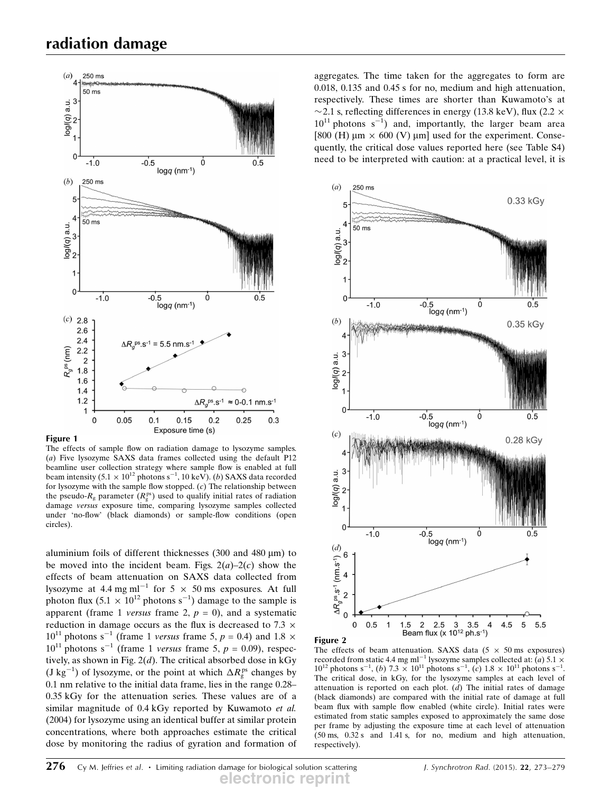

Figure 1

The effects of sample flow on radiation damage to lysozyme samples. (a) Five lysozyme SAXS data frames collected using the default P12 beamline user collection strategy where sample flow is enabled at full beam intensity  $(5.1 \times 10^{12} \text{ photons s}^{-1}, 10 \text{ keV})$ . (b) SAXS data recorded for lysozyme with the sample flow stopped.  $(c)$  The relationship between the pseudo- $R_{\rm g}$  parameter  $(R_{\rm g}^{\rm ps})$  used to qualify initial rates of radiation damage versus exposure time, comparing lysozyme samples collected under 'no-flow' (black diamonds) or sample-flow conditions (open circles).

aluminium foils of different thicknesses  $(300 \text{ and } 480 \text{ µm})$  to be moved into the incident beam. Figs.  $2(a)-2(c)$  show the effects of beam attenuation on SAXS data collected from lysozyme at 4.4 mg ml<sup>-1</sup> for 5  $\times$  50 ms exposures. At full photon flux  $(5.1 \times 10^{12} \text{ photons s}^{-1})$  damage to the sample is apparent (frame 1 versus frame 2,  $p = 0$ ), and a systematic reduction in damage occurs as the flux is decreased to 7.3  $\times$  $10^{11}$  photons s<sup>-1</sup> (frame 1 *versus* frame 5,  $p = 0.4$ ) and 1.8  $\times$  $10^{11}$  photons s<sup>-1</sup> (frame 1 *versus* frame 5,  $p = 0.09$ ), respectively, as shown in Fig.  $2(d)$ . The critical absorbed dose in kGy  $(\text{J kg}^{-1})$  of lysozyme, or the point at which  $\Delta R_{\text{g}}^{\text{ps}}$  changes by 0.1 nm relative to the initial data frame, lies in the range 0.28– 0.35 kGy for the attenuation series. These values are of a similar magnitude of 0.4 kGy reported by Kuwamoto et al. (2004) for lysozyme using an identical buffer at similar protein concentrations, where both approaches estimate the critical dose by monitoring the radius of gyration and formation of

aggregates. The time taken for the aggregates to form are 0.018, 0.135 and 0.45 s for no, medium and high attenuation, respectively. These times are shorter than Kuwamoto's at  $\sim$  2.1 s, reflecting differences in energy (13.8 keV), flux (2.2  $\times$  $10^{11}$  photons s<sup>-1</sup>) and, importantly, the larger beam area [800 (H)  $\mu$ m  $\times$  600 (V)  $\mu$ m] used for the experiment. Consequently, the critical dose values reported here (see Table S4) need to be interpreted with caution: at a practical level, it is





The effects of beam attenuation. SAXS data  $(5 \times 50 \text{ ms} \text{ exposures})$ recorded from static 4.4 mg ml<sup>-1</sup> lysozyme samples collected at: (a) 5.1  $\times$  $10^{12}$  photons s<sup>-1</sup>, (b)  $7.3 \times 10^{11}$  photons s<sup>-1</sup>, (c)  $1.8 \times 10^{11}$  photons s<sup>-1</sup>. The critical dose, in kGy, for the lysozyme samples at each level of attenuation is reported on each plot.  $(d)$  The initial rates of damage (black diamonds) are compared with the initial rate of damage at full beam flux with sample flow enabled (white circle). Initial rates were estimated from static samples exposed to approximately the same dose per frame by adjusting the exposure time at each level of attenuation (50 ms, 0.32 s and 1.41 s, for no, medium and high attenuation, respectively).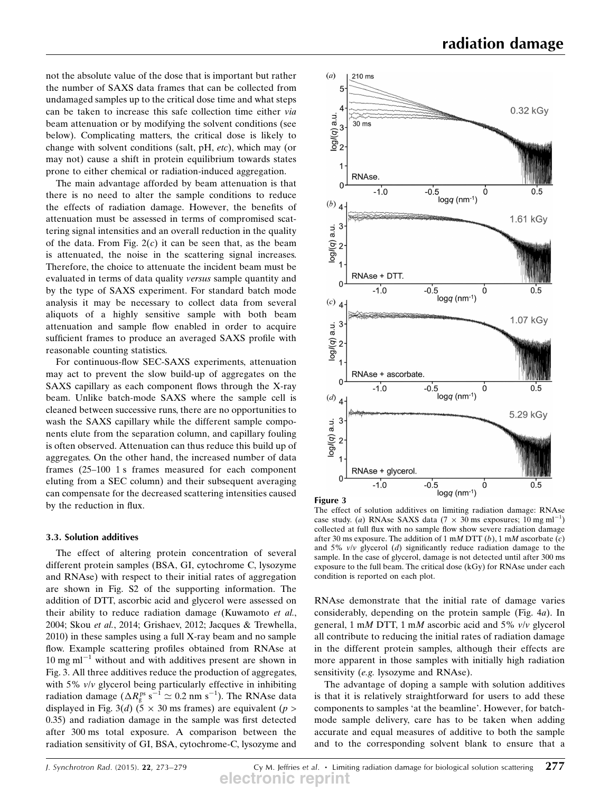not the absolute value of the dose that is important but rather the number of SAXS data frames that can be collected from undamaged samples up to the critical dose time and what steps can be taken to increase this safe collection time either via beam attenuation or by modifying the solvent conditions (see below). Complicating matters, the critical dose is likely to change with solvent conditions (salt, pH, etc), which may (or may not) cause a shift in protein equilibrium towards states prone to either chemical or radiation-induced aggregation.

The main advantage afforded by beam attenuation is that there is no need to alter the sample conditions to reduce the effects of radiation damage. However, the benefits of attenuation must be assessed in terms of compromised scattering signal intensities and an overall reduction in the quality of the data. From Fig.  $2(c)$  it can be seen that, as the beam is attenuated, the noise in the scattering signal increases. Therefore, the choice to attenuate the incident beam must be evaluated in terms of data quality versus sample quantity and by the type of SAXS experiment. For standard batch mode analysis it may be necessary to collect data from several aliquots of a highly sensitive sample with both beam attenuation and sample flow enabled in order to acquire sufficient frames to produce an averaged SAXS profile with reasonable counting statistics.

For continuous-flow SEC-SAXS experiments, attenuation may act to prevent the slow build-up of aggregates on the SAXS capillary as each component flows through the X-ray beam. Unlike batch-mode SAXS where the sample cell is cleaned between successive runs, there are no opportunities to wash the SAXS capillary while the different sample components elute from the separation column, and capillary fouling is often observed. Attenuation can thus reduce this build up of aggregates. On the other hand, the increased number of data frames (25–100 1 s frames measured for each component eluting from a SEC column) and their subsequent averaging can compensate for the decreased scattering intensities caused by the reduction in flux.

#### 3.3. Solution additives

The effect of altering protein concentration of several different protein samples (BSA, GI, cytochrome C, lysozyme and RNAse) with respect to their initial rates of aggregation are shown in Fig. S2 of the supporting information. The addition of DTT, ascorbic acid and glycerol were assessed on their ability to reduce radiation damage (Kuwamoto et al., 2004; Skou et al., 2014; Grishaev, 2012; Jacques & Trewhella, 2010) in these samples using a full X-ray beam and no sample flow. Example scattering profiles obtained from RNAse at  $10 \text{ mg ml}^{-1}$  without and with additives present are shown in Fig. 3. All three additives reduce the production of aggregates, with 5% *v*/*v* glycerol being particularly effective in inhibiting radiation damage ( $\Delta R_g^{\text{ps}} s^{-1} \simeq 0.2 \text{ nm s}^{-1}$ ). The RNAse data displayed in Fig. 3(d) (5  $\times$  30 ms frames) are equivalent (p > 0.35) and radiation damage in the sample was first detected after 300 ms total exposure. A comparison between the radiation sensitivity of GI, BSA, cytochrome-C, lysozyme and



Figure 3

The effect of solution additives on limiting radiation damage: RNAse case study. (a) RNAse SAXS data (7  $\times$  30 ms exposures; 10 mg ml<sup>-1</sup>) collected at full flux with no sample flow show severe radiation damage after 30 ms exposure. The addition of 1 mM DTT  $(b)$ , 1 mM ascorbate  $(c)$ and 5%  $v/v$  glycerol (d) significantly reduce radiation damage to the sample. In the case of glycerol, damage is not detected until after 300 ms exposure to the full beam. The critical dose (kGy) for RNAse under each condition is reported on each plot.

RNAse demonstrate that the initial rate of damage varies considerably, depending on the protein sample (Fig. 4a). In general, 1 mM DTT, 1 mM ascorbic acid and 5%  $v/v$  glycerol all contribute to reducing the initial rates of radiation damage in the different protein samples, although their effects are more apparent in those samples with initially high radiation sensitivity (e.g. lysozyme and RNAse).

The advantage of doping a sample with solution additives is that it is relatively straightforward for users to add these components to samples 'at the beamline'. However, for batchmode sample delivery, care has to be taken when adding accurate and equal measures of additive to both the sample and to the corresponding solvent blank to ensure that a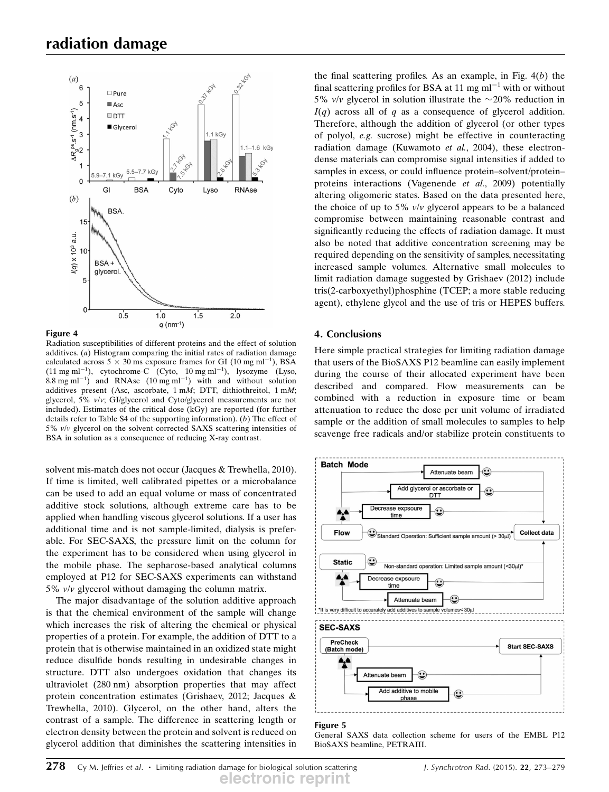

#### Figure 4

Radiation susceptibilities of different proteins and the effect of solution additives. (a) Histogram comparing the initial rates of radiation damage calculated across  $5 \times 30$  ms exposure frames for GI (10 mg ml<sup>-1</sup>), BSA  $(11 \text{ mg ml}^{-1})$ , cytochrome-C  $(Cyto, 10 \text{ mg ml}^{-1})$ , lysozyme  $(Lyso,$  $8.8 \text{ mg ml}^{-1}$ ) and RNAse  $(10 \text{ mg ml}^{-1})$  with and without solution additives present (Asc, ascorbate, 1 mM; DTT, dithiothreitol, 1 mM; glycerol, 5% v/v; GI/glycerol and Cyto/glycerol measurements are not included). Estimates of the critical dose (kGy) are reported (for further details refer to Table S4 of the supporting information). (b) The effect of 5% v/v glycerol on the solvent-corrected SAXS scattering intensities of BSA in solution as a consequence of reducing X-ray contrast.

solvent mis-match does not occur (Jacques & Trewhella, 2010). If time is limited, well calibrated pipettes or a microbalance can be used to add an equal volume or mass of concentrated additive stock solutions, although extreme care has to be applied when handling viscous glycerol solutions. If a user has additional time and is not sample-limited, dialysis is preferable. For SEC-SAXS, the pressure limit on the column for the experiment has to be considered when using glycerol in the mobile phase. The sepharose-based analytical columns employed at P12 for SEC-SAXS experiments can withstand 5%  $v/v$  glycerol without damaging the column matrix.

The major disadvantage of the solution additive approach is that the chemical environment of the sample will change which increases the risk of altering the chemical or physical properties of a protein. For example, the addition of DTT to a protein that is otherwise maintained in an oxidized state might reduce disulfide bonds resulting in undesirable changes in structure. DTT also undergoes oxidation that changes its ultraviolet (280 nm) absorption properties that may affect protein concentration estimates (Grishaev, 2012; Jacques & Trewhella, 2010). Glycerol, on the other hand, alters the contrast of a sample. The difference in scattering length or electron density between the protein and solvent is reduced on glycerol addition that diminishes the scattering intensities in

the final scattering profiles. As an example, in Fig.  $4(b)$  the final scattering profiles for BSA at 11 mg  $ml^{-1}$  with or without 5%  $v/v$  glycerol in solution illustrate the  $\sim$ 20% reduction in  $I(q)$  across all of q as a consequence of glycerol addition. Therefore, although the addition of glycerol (or other types of polyol, e.g. sucrose) might be effective in counteracting radiation damage (Kuwamoto et al., 2004), these electrondense materials can compromise signal intensities if added to samples in excess, or could influence protein–solvent/protein– proteins interactions (Vagenende et al., 2009) potentially altering oligomeric states. Based on the data presented here, the choice of up to 5%  $v/v$  glycerol appears to be a balanced compromise between maintaining reasonable contrast and significantly reducing the effects of radiation damage. It must also be noted that additive concentration screening may be required depending on the sensitivity of samples, necessitating increased sample volumes. Alternative small molecules to limit radiation damage suggested by Grishaev (2012) include tris(2-carboxyethyl)phosphine (TCEP; a more stable reducing agent), ethylene glycol and the use of tris or HEPES buffers.

#### 4. Conclusions

Here simple practical strategies for limiting radiation damage that users of the BioSAXS P12 beamline can easily implement during the course of their allocated experiment have been described and compared. Flow measurements can be combined with a reduction in exposure time or beam attenuation to reduce the dose per unit volume of irradiated sample or the addition of small molecules to samples to help scavenge free radicals and/or stabilize protein constituents to



#### Figure 5

General SAXS data collection scheme for users of the EMBL P12 BioSAXS beamline, PETRAIII.